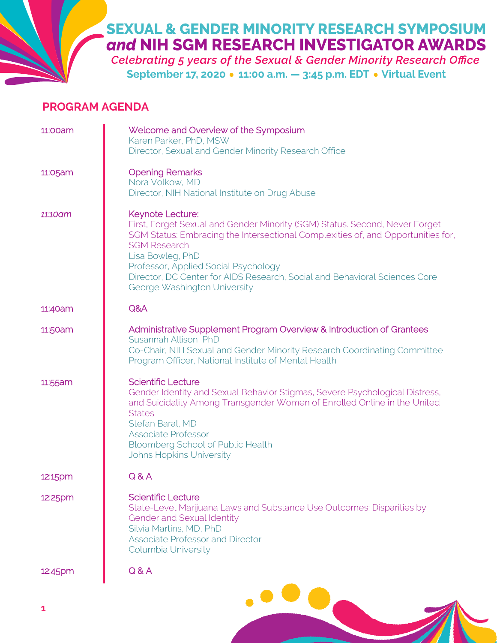## **SEXUAL & GENDER MINORITY RESEARCH SYMPOSIUM** and NIH SGM RESEARCH INVESTIGATOR AWARDS

**Celebrating 5 years of the Sexual & Gender Minority Research Office** September 17, 2020 . 11:00 a.m. - 3:45 p.m. EDT . Virtual Event

## **PROGRAM AGENDA**

| 11:00am | Welcome and Overview of the Symposium<br>Karen Parker, PhD, MSW<br>Director, Sexual and Gender Minority Research Office                                                                                                                                                                                                                                                              |
|---------|--------------------------------------------------------------------------------------------------------------------------------------------------------------------------------------------------------------------------------------------------------------------------------------------------------------------------------------------------------------------------------------|
| 11:05am | <b>Opening Remarks</b><br>Nora Volkow, MD<br>Director, NIH National Institute on Drug Abuse                                                                                                                                                                                                                                                                                          |
| 11:10am | Keynote Lecture:<br>First, Forget Sexual and Gender Minority (SGM) Status. Second, Never Forget<br>SGM Status: Embracing the Intersectional Complexities of, and Opportunities for,<br><b>SGM Research</b><br>Lisa Bowleg, PhD<br>Professor, Applied Social Psychology<br>Director, DC Center for AIDS Research, Social and Behavioral Sciences Core<br>George Washington University |
| 11:40am | Q&A                                                                                                                                                                                                                                                                                                                                                                                  |
| 11:50am | Administrative Supplement Program Overview & Introduction of Grantees<br>Susannah Allison, PhD<br>Co-Chair, NIH Sexual and Gender Minority Research Coordinating Committee<br>Program Officer, National Institute of Mental Health                                                                                                                                                   |
| 11:55am | <b>Scientific Lecture</b><br>Gender Identity and Sexual Behavior Stigmas, Severe Psychological Distress,<br>and Suicidality Among Transgender Women of Enrolled Online in the United<br><b>States</b><br>Stefan Baral, MD<br><b>Associate Professor</b><br><b>Bloomberg School of Public Health</b><br><b>Johns Hopkins University</b>                                               |
| 12:15pm | Q & A                                                                                                                                                                                                                                                                                                                                                                                |
| 12:25pm | <b>Scientific Lecture</b><br>State-Level Marijuana Laws and Substance Use Outcomes: Disparities by<br><b>Gender and Sexual Identity</b><br>Silvia Martins, MD, PhD<br><b>Associate Professor and Director</b><br>Columbia University                                                                                                                                                 |
| 12:45pm | Q & A                                                                                                                                                                                                                                                                                                                                                                                |
|         |                                                                                                                                                                                                                                                                                                                                                                                      |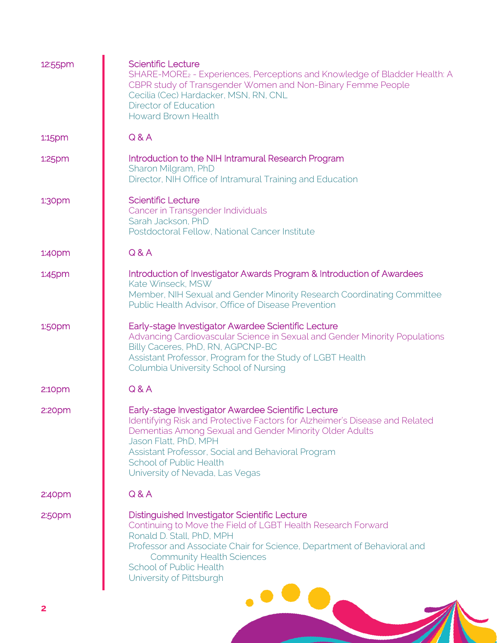| 12:55pm            | <b>Scientific Lecture</b><br>SHARE-MORE <sub>2</sub> - Experiences, Perceptions and Knowledge of Bladder Health: A<br>CBPR study of Transgender Women and Non-Binary Femme People<br>Cecilia (Cec) Hardacker, MSN, RN, CNL<br>Director of Education<br><b>Howard Brown Health</b>                                                                 |
|--------------------|---------------------------------------------------------------------------------------------------------------------------------------------------------------------------------------------------------------------------------------------------------------------------------------------------------------------------------------------------|
| 1:15pm             | Q & A                                                                                                                                                                                                                                                                                                                                             |
| 1:25pm             | Introduction to the NIH Intramural Research Program<br>Sharon Milgram, PhD<br>Director, NIH Office of Intramural Training and Education                                                                                                                                                                                                           |
| 1:30pm             | <b>Scientific Lecture</b><br>Cancer in Transgender Individuals<br>Sarah Jackson, PhD<br>Postdoctoral Fellow, National Cancer Institute                                                                                                                                                                                                            |
| 1.40 <sub>pm</sub> | Q & A                                                                                                                                                                                                                                                                                                                                             |
| 1:45pm             | Introduction of Investigator Awards Program & Introduction of Awardees<br>Kate Winseck, MSW<br>Member, NIH Sexual and Gender Minority Research Coordinating Committee<br>Public Health Advisor, Office of Disease Prevention                                                                                                                      |
| 1:50pm             | Early-stage Investigator Awardee Scientific Lecture<br>Advancing Cardiovascular Science in Sexual and Gender Minority Populations<br>Billy Caceres, PhD, RN, AGPCNP-BC<br>Assistant Professor, Program for the Study of LGBT Health<br>Columbia University School of Nursing                                                                      |
| 2:10pm             | Q & A                                                                                                                                                                                                                                                                                                                                             |
| 2:20 <sub>pm</sub> | Early-stage Investigator Awardee Scientific Lecture<br>Identifying Risk and Protective Factors for Alzheimer's Disease and Related<br>Dementias Among Sexual and Gender Minority Older Adults<br>Jason Flatt, PhD, MPH<br>Assistant Professor, Social and Behavioral Program<br><b>School of Public Health</b><br>University of Nevada, Las Vegas |
| 2:40 <sub>pm</sub> | Q & A                                                                                                                                                                                                                                                                                                                                             |
| 2:50 <sub>pm</sub> | <b>Distinguished Investigator Scientific Lecture</b><br>Continuing to Move the Field of LGBT Health Research Forward<br>Ronald D. Stall, PhD, MPH<br>Professor and Associate Chair for Science, Department of Behavioral and<br><b>Community Health Sciences</b><br><b>School of Public Health</b><br>University of Pittsburgh                    |
|                    |                                                                                                                                                                                                                                                                                                                                                   |